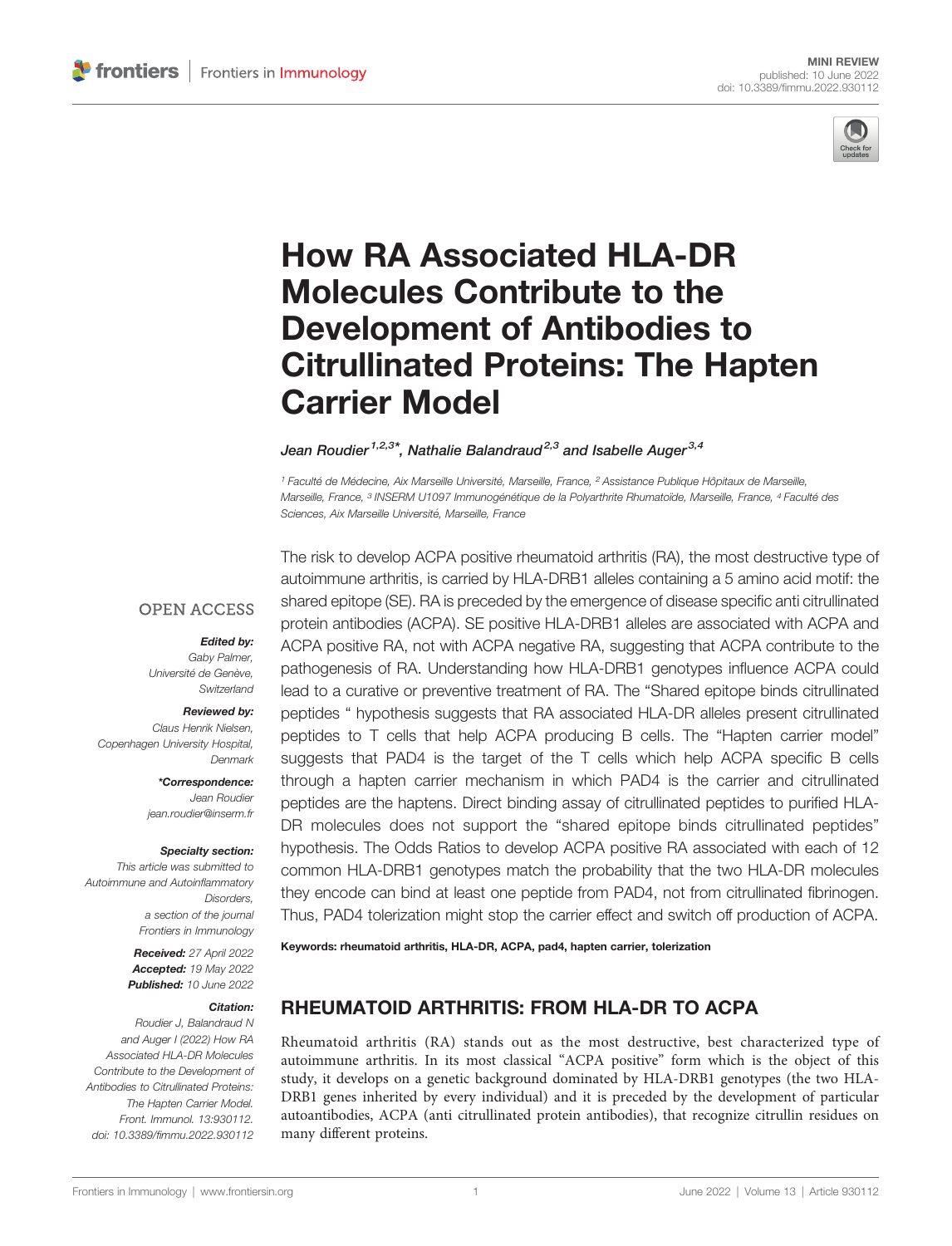

# [How RA Associated HLA-DR](https://www.frontiersin.org/articles/10.3389/fimmu.2022.930112/full) [Molecules Contribute to the](https://www.frontiersin.org/articles/10.3389/fimmu.2022.930112/full) [Development of Antibodies to](https://www.frontiersin.org/articles/10.3389/fimmu.2022.930112/full) [Citrullinated Proteins: The Hapten](https://www.frontiersin.org/articles/10.3389/fimmu.2022.930112/full) [Carrier Model](https://www.frontiersin.org/articles/10.3389/fimmu.2022.930112/full)

#### Jean Roudier<sup>1,2,3\*</sup>, Nathalie Balandraud<sup>2,3</sup> and Isabelle Auger<sup>3,4</sup>

1 Faculté de Médecine, Aix Marseille Université, Marseille, France, <sup>2</sup> Assistance Publique Hôpitaux de Marseille, Marseille, France, <sup>3</sup> INSERM U1097 Immunogénétique de la Polyarthrite Rhumatoïde, Marseille, France, <sup>4</sup> Faculté des Sciences, Aix Marseille Université, Marseille, France

#### **OPEN ACCESS**

#### Edited by:

Gaby Palmer, Université de Genève. Switzerland

#### Reviewed by:

Claus Henrik Nielsen, Copenhagen University Hospital, Denmark

> \*Correspondence: Jean Roudier [jean.roudier@inserm.fr](mailto:jean.roudier@inserm.fr)

#### Specialty section:

This article was submitted to Autoimmune and Autoinflammatory Disorders, a section of the journal Frontiers in Immunology

> Received: 27 April 2022 Accepted: 19 May 2022 Published: 10 June 2022

#### Citation:

Roudier J, Balandraud N and Auger I (2022) How RA Associated HLA-DR Molecules Contribute to the Development of Antibodies to Citrullinated Proteins: The Hapten Carrier Model. Front. Immunol. 13:930112. [doi: 10.3389/fimmu.2022.930112](https://doi.org/10.3389/fimmu.2022.930112)

The risk to develop ACPA positive rheumatoid arthritis (RA), the most destructive type of autoimmune arthritis, is carried by HLA-DRB1 alleles containing a 5 amino acid motif: the shared epitope (SE). RA is preceded by the emergence of disease specific anti citrullinated protein antibodies (ACPA). SE positive HLA-DRB1 alleles are associated with ACPA and ACPA positive RA, not with ACPA negative RA, suggesting that ACPA contribute to the pathogenesis of RA. Understanding how HLA-DRB1 genotypes influence ACPA could lead to a curative or preventive treatment of RA. The "Shared epitope binds citrullinated peptides " hypothesis suggests that RA associated HLA-DR alleles present citrullinated peptides to T cells that help ACPA producing B cells. The "Hapten carrier model" suggests that PAD4 is the target of the T cells which help ACPA specific B cells through a hapten carrier mechanism in which PAD4 is the carrier and citrullinated peptides are the haptens. Direct binding assay of citrullinated peptides to purified HLA-DR molecules does not support the "shared epitope binds citrullinated peptides" hypothesis. The Odds Ratios to develop ACPA positive RA associated with each of 12 common HLA-DRB1 genotypes match the probability that the two HLA-DR molecules they encode can bind at least one peptide from PAD4, not from citrullinated fibrinogen. Thus, PAD4 tolerization might stop the carrier effect and switch off production of ACPA.

#### Keywords: rheumatoid arthritis, HLA-DR, ACPA, pad4, hapten carrier, tolerization

# RHEUMATOID ARTHRITIS: FROM HLA-DR TO ACPA

Rheumatoid arthritis (RA) stands out as the most destructive, best characterized type of autoimmune arthritis. In its most classical "ACPA positive" form which is the object of this study, it develops on a genetic background dominated by HLA-DRB1 genotypes (the two HLA-DRB1 genes inherited by every individual) and it is preceded by the development of particular autoantibodies, ACPA (anti citrullinated protein antibodies), that recognize citrullin residues on many different proteins.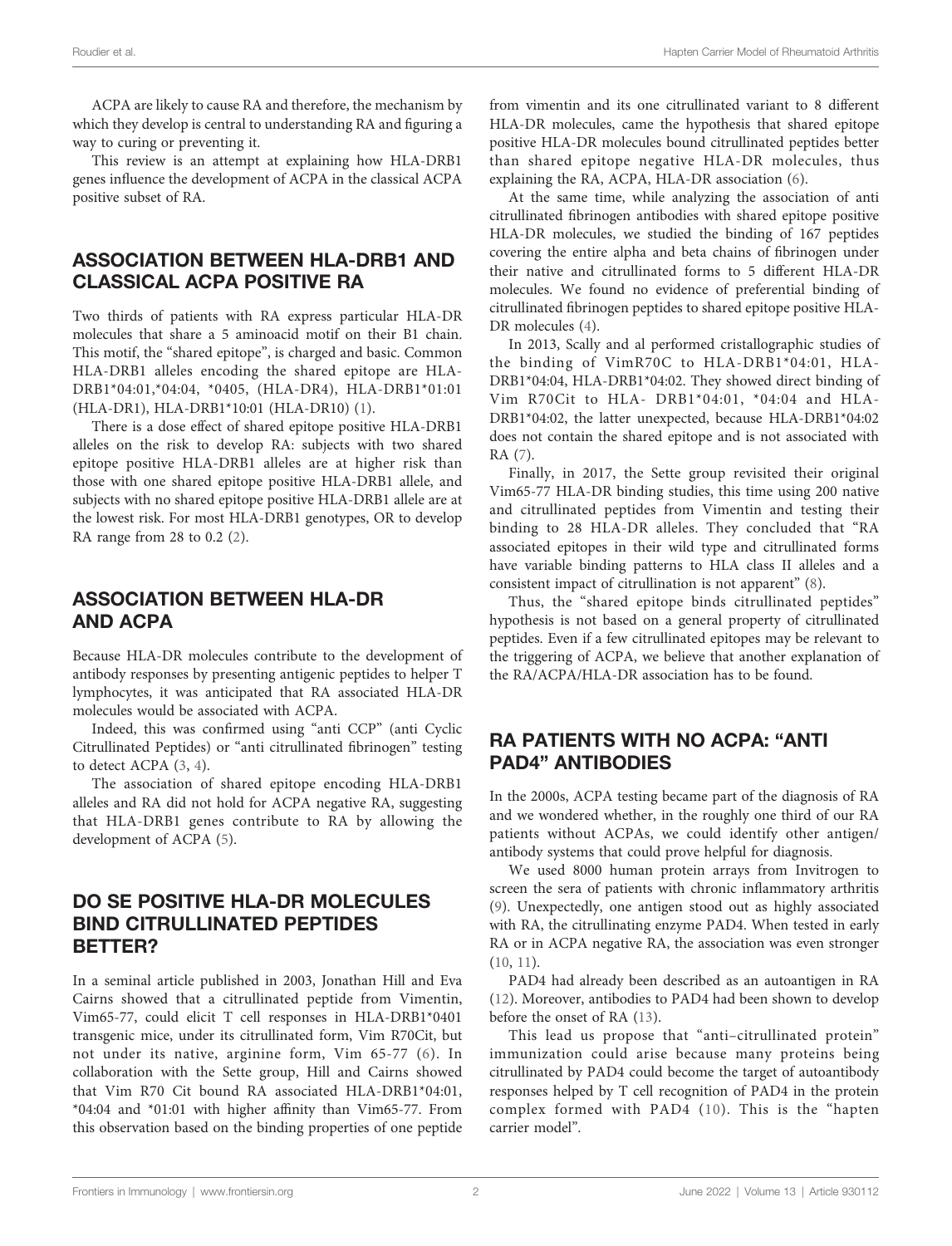ACPA are likely to cause RA and therefore, the mechanism by which they develop is central to understanding RA and figuring a way to curing or preventing it.

This review is an attempt at explaining how HLA-DRB1 genes influence the development of ACPA in the classical ACPA positive subset of RA.

## ASSOCIATION BETWEEN HLA-DRB1 AND CLASSICAL ACPA POSITIVE RA

Two thirds of patients with RA express particular HLA-DR molecules that share a 5 aminoacid motif on their B1 chain. This motif, the "shared epitope", is charged and basic. Common HLA-DRB1 alleles encoding the shared epitope are HLA-DRB1\*04:01,\*04:04, \*0405, (HLA-DR4), HLA-DRB1\*01:01 (HLA-DR1), HLA-DRB1\*10:01 (HLA-DR10) ([1](#page-3-0)).

There is a dose effect of shared epitope positive HLA-DRB1 alleles on the risk to develop RA: subjects with two shared epitope positive HLA-DRB1 alleles are at higher risk than those with one shared epitope positive HLA-DRB1 allele, and subjects with no shared epitope positive HLA-DRB1 allele are at the lowest risk. For most HLA-DRB1 genotypes, OR to develop RA range from 28 to 0.2 ([2](#page-3-0)).

## ASSOCIATION BETWEEN HLA-DR AND ACPA

Because HLA-DR molecules contribute to the development of antibody responses by presenting antigenic peptides to helper T lymphocytes, it was anticipated that RA associated HLA-DR molecules would be associated with ACPA.

Indeed, this was confirmed using "anti CCP" (anti Cyclic Citrullinated Peptides) or "anti citrullinated fibrinogen" testing to detect ACPA ([3,](#page-3-0) [4](#page-3-0)).

The association of shared epitope encoding HLA-DRB1 alleles and RA did not hold for ACPA negative RA, suggesting that HLA-DRB1 genes contribute to RA by allowing the development of ACPA [\(5\)](#page-3-0).

# DO SE POSITIVE HLA-DR MOLECULES BIND CITRULLINATED PEPTIDES BETTER?

In a seminal article published in 2003, Jonathan Hill and Eva Cairns showed that a citrullinated peptide from Vimentin, Vim65-77, could elicit T cell responses in HLA-DRB1\*0401 transgenic mice, under its citrullinated form, Vim R70Cit, but not under its native, arginine form, Vim 65-77 ([6](#page-3-0)). In collaboration with the Sette group, Hill and Cairns showed that Vim R70 Cit bound RA associated HLA-DRB1\*04:01, \*04:04 and \*01:01 with higher affinity than Vim65-77. From this observation based on the binding properties of one peptide from vimentin and its one citrullinated variant to 8 different HLA-DR molecules, came the hypothesis that shared epitope positive HLA-DR molecules bound citrullinated peptides better than shared epitope negative HLA-DR molecules, thus explaining the RA, ACPA, HLA-DR association ([6](#page-3-0)).

At the same time, while analyzing the association of anti citrullinated fibrinogen antibodies with shared epitope positive HLA-DR molecules, we studied the binding of 167 peptides covering the entire alpha and beta chains of fibrinogen under their native and citrullinated forms to 5 different HLA-DR molecules. We found no evidence of preferential binding of citrullinated fibrinogen peptides to shared epitope positive HLA-DR molecules [\(4\)](#page-3-0).

In 2013, Scally and al performed cristallographic studies of the binding of VimR70C to HLA-DRB1\*04:01, HLA-DRB1\*04:04, HLA-DRB1\*04:02. They showed direct binding of Vim R70Cit to HLA- DRB1\*04:01, \*04:04 and HLA-DRB1\*04:02, the latter unexpected, because HLA-DRB1\*04:02 does not contain the shared epitope and is not associated with RA ([7](#page-3-0)).

Finally, in 2017, the Sette group revisited their original Vim65-77 HLA-DR binding studies, this time using 200 native and citrullinated peptides from Vimentin and testing their binding to 28 HLA-DR alleles. They concluded that "RA associated epitopes in their wild type and citrullinated forms have variable binding patterns to HLA class II alleles and a consistent impact of citrullination is not apparent" ([8](#page-3-0)).

Thus, the "shared epitope binds citrullinated peptides" hypothesis is not based on a general property of citrullinated peptides. Even if a few citrullinated epitopes may be relevant to the triggering of ACPA, we believe that another explanation of the RA/ACPA/HLA-DR association has to be found.

## RA PATIENTS WITH NO ACPA: "ANTI PAD4" ANTIBODIES

In the 2000s, ACPA testing became part of the diagnosis of RA and we wondered whether, in the roughly one third of our RA patients without ACPAs, we could identify other antigen/ antibody systems that could prove helpful for diagnosis.

We used 8000 human protein arrays from Invitrogen to screen the sera of patients with chronic inflammatory arthritis [\(9\)](#page-3-0). Unexpectedly, one antigen stood out as highly associated with RA, the citrullinating enzyme PAD4. When tested in early RA or in ACPA negative RA, the association was even stronger [\(10,](#page-3-0) [11\)](#page-3-0).

PAD4 had already been described as an autoantigen in RA [\(12\)](#page-3-0). Moreover, antibodies to PAD4 had been shown to develop before the onset of RA [\(13](#page-3-0)).

This lead us propose that "anti–citrullinated protein" immunization could arise because many proteins being citrullinated by PAD4 could become the target of autoantibody responses helped by T cell recognition of PAD4 in the protein complex formed with PAD4 ([10\)](#page-3-0). This is the "hapten carrier model".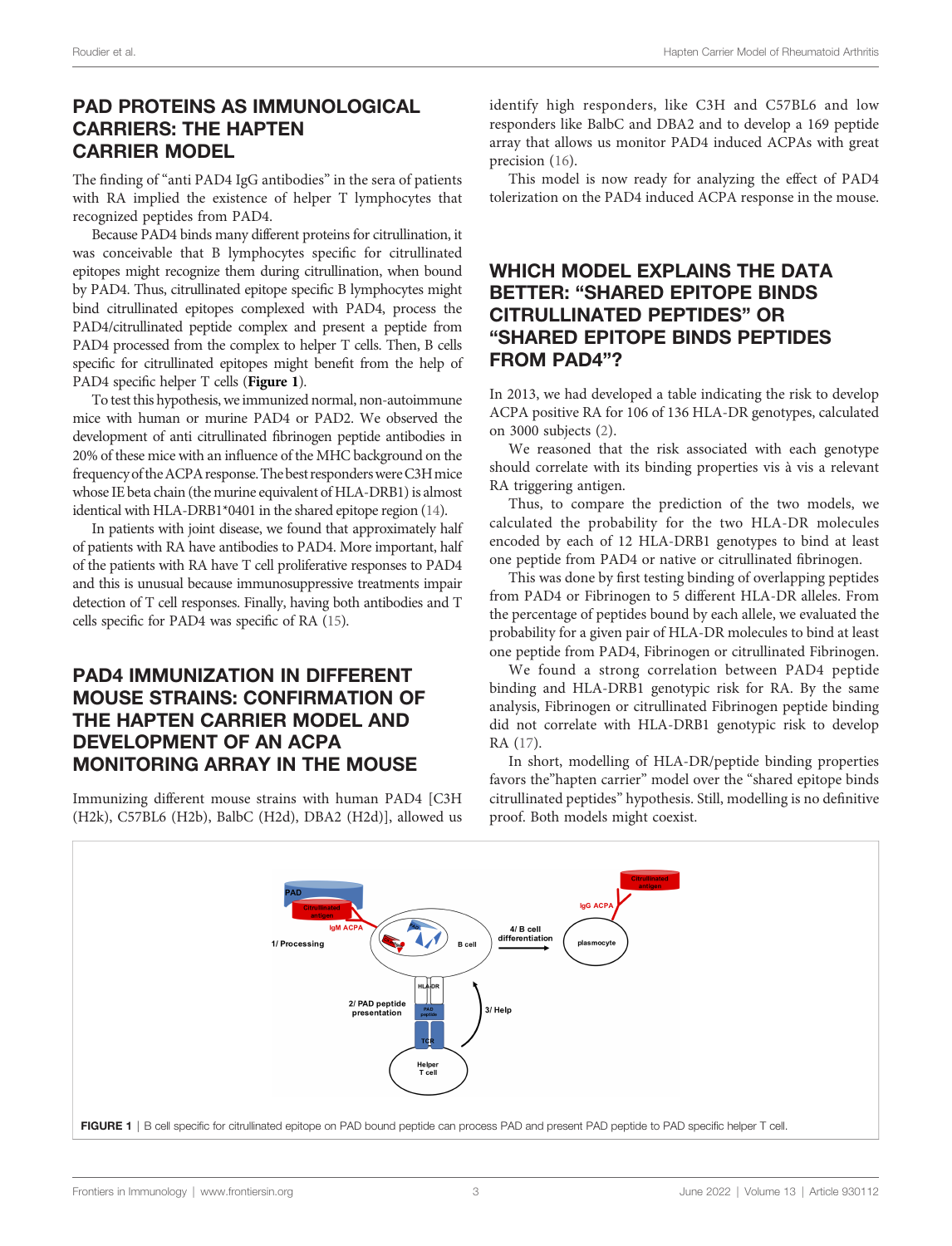# PAD PROTEINS AS IMMUNOLOGICAL CARRIERS: THE HAPTEN CARRIER MODEL

The finding of "anti PAD4 IgG antibodies" in the sera of patients with RA implied the existence of helper T lymphocytes that recognized peptides from PAD4.

Because PAD4 binds many different proteins for citrullination, it was conceivable that B lymphocytes specific for citrullinated epitopes might recognize them during citrullination, when bound by PAD4. Thus, citrullinated epitope specific B lymphocytes might bind citrullinated epitopes complexed with PAD4, process the PAD4/citrullinated peptide complex and present a peptide from PAD4 processed from the complex to helper T cells. Then, B cells specific for citrullinated epitopes might benefit from the help of PAD4 specific helper T cells (Figure 1).

To test this hypothesis, we immunized normal, non-autoimmune mice with human or murine PAD4 or PAD2. We observed the development of anti citrullinated fibrinogen peptide antibodies in 20% of these mice with an influence of the MHC background on the frequency of the ACPA response. The best responders were C3H mice whose IE beta chain (the murine equivalent of HLA-DRB1) is almost identical with HLA-DRB1\*0401 in the shared epitope region [\(14](#page-3-0)).

In patients with joint disease, we found that approximately half of patients with RA have antibodies to PAD4. More important, half of the patients with RA have T cell proliferative responses to PAD4 and this is unusual because immunosuppressive treatments impair detection of T cell responses. Finally, having both antibodies and T cells specific for PAD4 was specific of RA ([15](#page-3-0)).

# PAD4 IMMUNIZATION IN DIFFERENT MOUSE STRAINS: CONFIRMATION OF THE HAPTEN CARRIER MODEL AND DEVELOPMENT OF AN ACPA MONITORING ARRAY IN THE MOUSE

Immunizing different mouse strains with human PAD4 [C3H (H2k), C57BL6 (H2b), BalbC (H2d), DBA2 (H2d)], allowed us identify high responders, like C3H and C57BL6 and low responders like BalbC and DBA2 and to develop a 169 peptide array that allows us monitor PAD4 induced ACPAs with great precision ([16\)](#page-3-0).

This model is now ready for analyzing the effect of PAD4 tolerization on the PAD4 induced ACPA response in the mouse.

## WHICH MODEL EXPLAINS THE DATA BETTER: "SHARED EPITOPE BINDS CITRULLINATED PEPTIDES" OR "SHARED EPITOPE BINDS PEPTIDES FROM PAD4"?

In 2013, we had developed a table indicating the risk to develop ACPA positive RA for 106 of 136 HLA-DR genotypes, calculated on 3000 subjects ([2](#page-3-0)).

We reasoned that the risk associated with each genotype should correlate with its binding properties vis à vis a relevant RA triggering antigen.

Thus, to compare the prediction of the two models, we calculated the probability for the two HLA-DR molecules encoded by each of 12 HLA-DRB1 genotypes to bind at least one peptide from PAD4 or native or citrullinated fibrinogen.

This was done by first testing binding of overlapping peptides from PAD4 or Fibrinogen to 5 different HLA-DR alleles. From the percentage of peptides bound by each allele, we evaluated the probability for a given pair of HLA-DR molecules to bind at least one peptide from PAD4, Fibrinogen or citrullinated Fibrinogen.

We found a strong correlation between PAD4 peptide binding and HLA-DRB1 genotypic risk for RA. By the same analysis, Fibrinogen or citrullinated Fibrinogen peptide binding did not correlate with HLA-DRB1 genotypic risk to develop RA ([17\)](#page-3-0).

In short, modelling of HLA-DR/peptide binding properties favors the"hapten carrier" model over the "shared epitope binds citrullinated peptides" hypothesis. Still, modelling is no definitive proof. Both models might coexist.